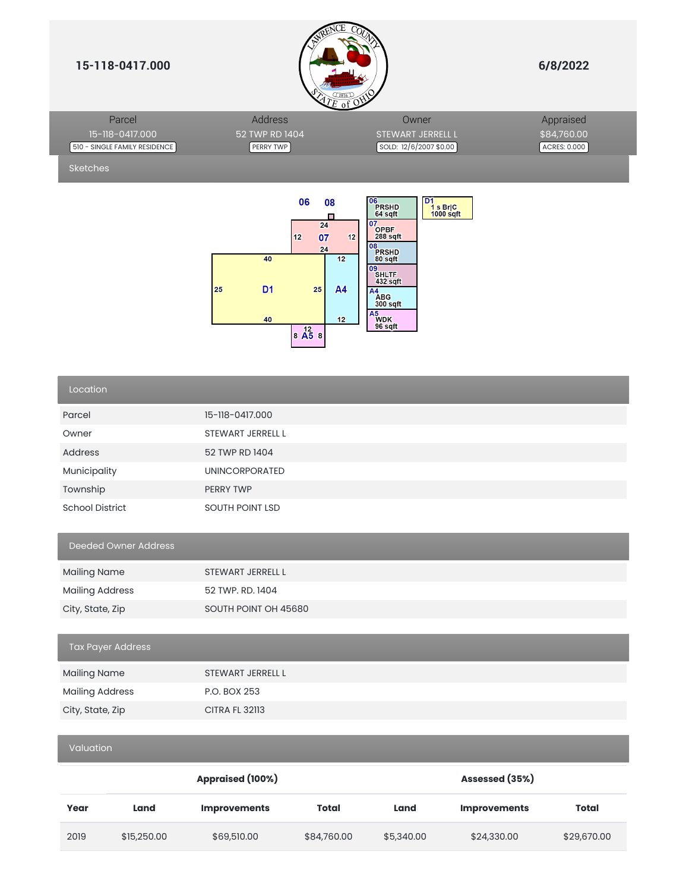

|                               |                | $\leq$ c or $\leq$            |              |
|-------------------------------|----------------|-------------------------------|--------------|
| Parcel                        | Address        | Owner                         | Appraised    |
| 15-118-0417.000               | 52 TWP RD 1404 | <b>STEWART JERRELL L</b>      | \$84,760.00  |
| 510 - SINGLE FAMILY RESIDENCE | PERRY TWP      | $\sim$ SOLD: 12/6/2007 \$0.00 | ACRES: 0.000 |

Sketches



| Location                    |                       |
|-----------------------------|-----------------------|
| Parcel                      | 15-118-0417.000       |
| Owner                       | STEWART JERRELL L     |
| Address                     | 52 TWP RD 1404        |
| Municipality                | UNINCORPORATED        |
| Township                    | PERRY TWP             |
| <b>School District</b>      | SOUTH POINT LSD       |
| <b>Deeded Owner Address</b> |                       |
| <b>Mailing Name</b>         | STEWART JERRELL L     |
| <b>Mailing Address</b>      | 52 TWP. RD. 1404      |
| City, State, Zip            | SOUTH POINT OH 45680  |
|                             |                       |
| <b>Tax Payer Address</b>    |                       |
| <b>Mailing Name</b>         | STEWART JERRELL L     |
| <b>Mailing Address</b>      | P.O. BOX 253          |
| City, State, Zip            | <b>CITRA FL 32113</b> |
|                             |                       |
| Valuation                   |                       |

|      |             | Appraised (100%)    |              | Assessed (35%) |                     |             |
|------|-------------|---------------------|--------------|----------------|---------------------|-------------|
| Year | Land        | <b>Improvements</b> | <b>Total</b> | Land           | <b>Improvements</b> | Total       |
| 2019 | \$15,250.00 | \$69,510.00         | \$84,760.00  | \$5,340.00     | \$24,330.00         | \$29,670.00 |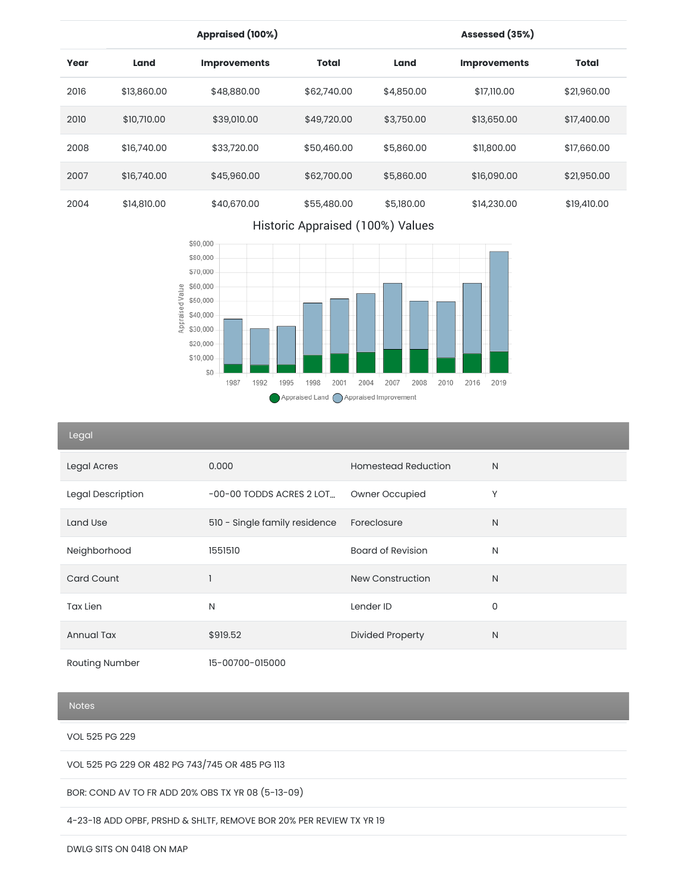|      |             | Appraised (100%)    |              |            | Assessed (35%)      |              |
|------|-------------|---------------------|--------------|------------|---------------------|--------------|
| Year | Land        | <b>Improvements</b> | <b>Total</b> | Land       | <b>Improvements</b> | <b>Total</b> |
| 2016 | \$13,860.00 | \$48,880.00         | \$62,740.00  | \$4,850.00 | \$17,110.00         | \$21,960.00  |
| 2010 | \$10,710.00 | \$39,010.00         | \$49,720.00  | \$3,750.00 | \$13,650.00         | \$17,400.00  |
| 2008 | \$16,740.00 | \$33,720.00         | \$50,460.00  | \$5,860,00 | \$11,800.00         | \$17,660.00  |
| 2007 | \$16,740.00 | \$45,960.00         | \$62,700.00  | \$5,860.00 | \$16,090.00         | \$21,950.00  |
| 2004 | \$14,810.00 | \$40,670.00         | \$55,480.00  | \$5,180.00 | \$14,230.00         | \$19,410.00  |

# Historic Appraised (100%) Values



## Legal

| Luyur                 |                               |                            |              |
|-----------------------|-------------------------------|----------------------------|--------------|
| Legal Acres           | 0.000                         | <b>Homestead Reduction</b> | N            |
| Legal Description     | $-00-00$ TODDS ACRES 2 LOT    | Owner Occupied             | Υ            |
| Land Use              | 510 - Single family residence | Foreclosure                | $\mathsf{N}$ |
| Neighborhood          | 1551510                       | <b>Board of Revision</b>   | N            |
| <b>Card Count</b>     |                               | <b>New Construction</b>    | N            |
| Tax Lien              | N                             | Lender ID                  | $\mathbf 0$  |
| <b>Annual Tax</b>     | \$919.52                      | <b>Divided Property</b>    | N            |
| <b>Routing Number</b> | 15-00700-015000               |                            |              |

### Notes

VOL 525 PG 229

VOL 525 PG 229 OR 482 PG 743/745 OR 485 PG 113

BOR: COND AV TO FR ADD 20% OBS TX YR 08 (5-13-09)

4-23-18 ADD OPBF, PRSHD & SHLTF, REMOVE BOR 20% PER REVIEW TX YR 19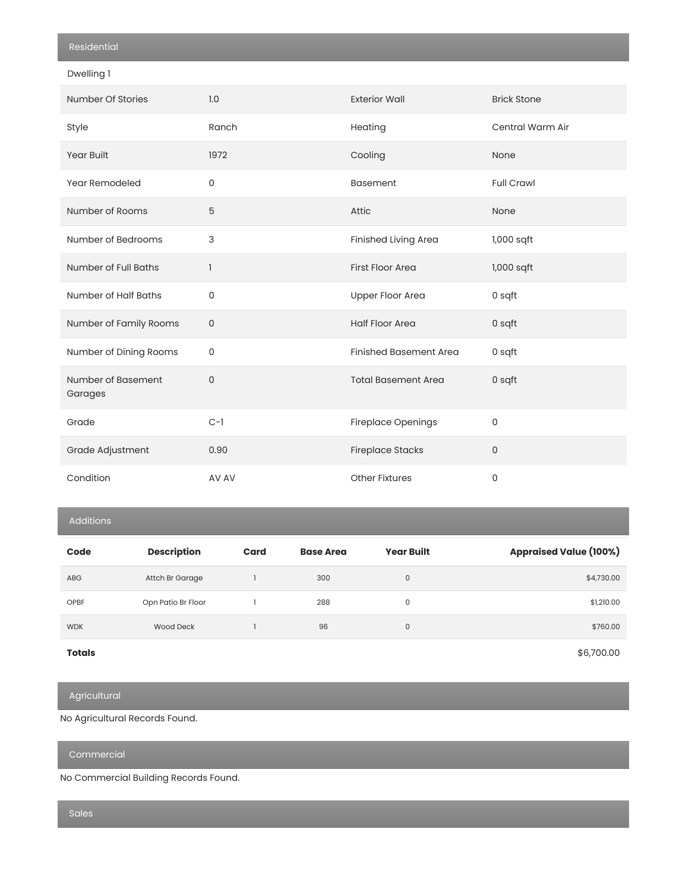|  |  | -sidem- |  |
|--|--|---------|--|
|  |  |         |  |

Dwelling 1

| Number Of Stories             | 1.0         | <b>Exterior Wall</b>          | <b>Brick Stone</b> |
|-------------------------------|-------------|-------------------------------|--------------------|
| Style                         | Ranch       | Heating                       | Central Warm Air   |
| <b>Year Built</b>             | 1972        | Cooling                       | None               |
| Year Remodeled                | $\mathbf 0$ | <b>Basement</b>               | <b>Full Crawl</b>  |
| Number of Rooms               | 5           | Attic                         | None               |
| Number of Bedrooms            | 3           | Finished Living Area          | $1,000$ sqft       |
| Number of Full Baths          | 1           | <b>First Floor Area</b>       | 1,000 sqft         |
| Number of Half Baths          | $\mathbf 0$ | <b>Upper Floor Area</b>       | 0 sqft             |
| Number of Family Rooms        | $\mathbf 0$ | <b>Half Floor Area</b>        | 0 sqft             |
| Number of Dining Rooms        | 0           | <b>Finished Basement Area</b> | 0 sqft             |
| Number of Basement<br>Garages | $\Omega$    | <b>Total Basement Area</b>    | 0 sqft             |
| Grade                         | $C-1$       | Fireplace Openings            | 0                  |
| Grade Adjustment              | 0.90        | <b>Fireplace Stacks</b>       | 0                  |
| Condition                     | AV AV       | <b>Other Fixtures</b>         | 0                  |

Additions

| Code          | <b>Description</b> | Card | <b>Base Area</b> | <b>Year Built</b> | <b>Appraised Value (100%)</b> |
|---------------|--------------------|------|------------------|-------------------|-------------------------------|
| <b>ABG</b>    | Attch Br Garage    |      | 300              | $\mathbf 0$       | \$4,730.00                    |
| <b>OPBF</b>   | Opn Patio Br Floor |      | 288              | 0                 | \$1,210.00                    |
| <b>WDK</b>    | <b>Wood Deck</b>   |      | 96               | $\mathbf 0$       | \$760.00                      |
| <b>Totals</b> |                    |      |                  |                   | \$6,700.00                    |

Agricultural

No Agricultural Records Found.

Commercial

No Commercial Building Records Found.

Sales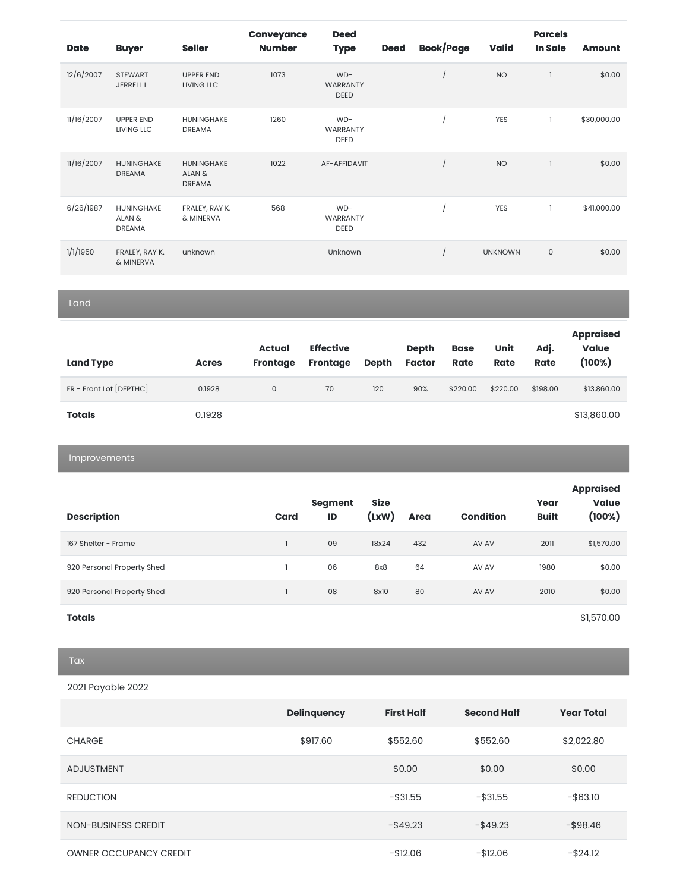| <b>Date</b> | <b>Buyer</b>                          | <b>Seller</b>                                | <b>Conveyance</b><br><b>Number</b> | <b>Deed</b><br><b>Type</b>              | <b>Deed</b> | <b>Book/Page</b> | <b>Valid</b>   | <b>Parcels</b><br><b>In Sale</b> | <b>Amount</b> |
|-------------|---------------------------------------|----------------------------------------------|------------------------------------|-----------------------------------------|-------------|------------------|----------------|----------------------------------|---------------|
| 12/6/2007   | <b>STEWART</b><br><b>JERRELL L</b>    | <b>UPPER END</b><br>LIVING LLC               | 1073                               | $WD-$<br><b>WARRANTY</b><br><b>DEED</b> |             |                  | <b>NO</b>      |                                  | \$0.00        |
| 11/16/2007  | <b>UPPER END</b><br>LIVING LLC        | <b>HUNINGHAKE</b><br><b>DREAMA</b>           | 1260                               | $WD-$<br><b>WARRANTY</b><br><b>DEED</b> |             |                  | <b>YES</b>     | 1                                | \$30,000.00   |
| 11/16/2007  | HUNINGHAKE<br><b>DREAMA</b>           | <b>HUNINGHAKE</b><br>ALAN &<br><b>DREAMA</b> | 1022                               | AF-AFFIDAVIT                            |             |                  | <b>NO</b>      |                                  | \$0.00        |
| 6/26/1987   | HUNINGHAKE<br>ALAN &<br><b>DREAMA</b> | FRALEY, RAY K.<br>& MINERVA                  | 568                                | $WD-$<br><b>WARRANTY</b><br><b>DEED</b> |             |                  | YES            | 1                                | \$41,000.00   |
| 1/1/1950    | FRALEY, RAY K.<br>& MINERVA           | unknown                                      |                                    | Unknown                                 |             |                  | <b>UNKNOWN</b> | $\mathbf 0$                      | \$0.00        |

Land

| <b>Land Type</b>        | <b>Acres</b> | Actual<br><b>Frontage</b> | <b>Effective</b><br><b>Frontage</b> | <b>Depth</b> | <b>Depth</b><br><b>Factor</b> | <b>Base</b><br><b>Rate</b> | Unit<br><b>Rate</b> | Adj.<br><b>Rate</b> | <b>Appraised</b><br><b>Value</b><br>$(100\%)$ |
|-------------------------|--------------|---------------------------|-------------------------------------|--------------|-------------------------------|----------------------------|---------------------|---------------------|-----------------------------------------------|
| FR - Front Lot [DEPTHC] | 0.1928       | 0                         | 70                                  | 120          | 90%                           | \$220.00                   | \$220.00            | \$198.00            | \$13,860.00                                   |
| <b>Totals</b>           | 0.1928       |                           |                                     |              |                               |                            |                     |                     | \$13,860.00                                   |

Improvements

|                            |      | Segment | <b>Size</b> |             |                  | Year         | <b>Appraised</b><br><b>Value</b> |
|----------------------------|------|---------|-------------|-------------|------------------|--------------|----------------------------------|
| <b>Description</b>         | Card | ID      | (xw)        | <b>Area</b> | <b>Condition</b> | <b>Built</b> | (100%)                           |
| 167 Shelter - Frame        |      | 09      | 18x24       | 432         | AV AV            | 2011         | \$1,570.00                       |
| 920 Personal Property Shed |      | 06      | 8x8         | 64          | AV AV            | 1980         | \$0.00                           |
| 920 Personal Property Shed |      | 08      | 8x10        | 80          | AV AV            | 2010         | \$0.00                           |
|                            |      |         |             |             |                  |              |                                  |

**Totals** \$1,570.00

2021 Payable 2022

|                               | <b>Delinquency</b> | <b>First Half</b> | <b>Second Half</b> | <b>Year Total</b> |
|-------------------------------|--------------------|-------------------|--------------------|-------------------|
| <b>CHARGE</b>                 | \$917.60           | \$552.60          | \$552.60           | \$2,022.80        |
| <b>ADJUSTMENT</b>             |                    | \$0.00            | \$0.00             | \$0.00            |
| <b>REDUCTION</b>              |                    | $-$ \$31.55       | $-$ \$31.55        | $-$ \$63.10       |
| NON-BUSINESS CREDIT           |                    | $-$ \$49.23       | $-$ \$49.23        | $-$ \$98.46       |
| <b>OWNER OCCUPANCY CREDIT</b> |                    | $-$12.06$         | $-$12.06$          | $-$ \$24.12       |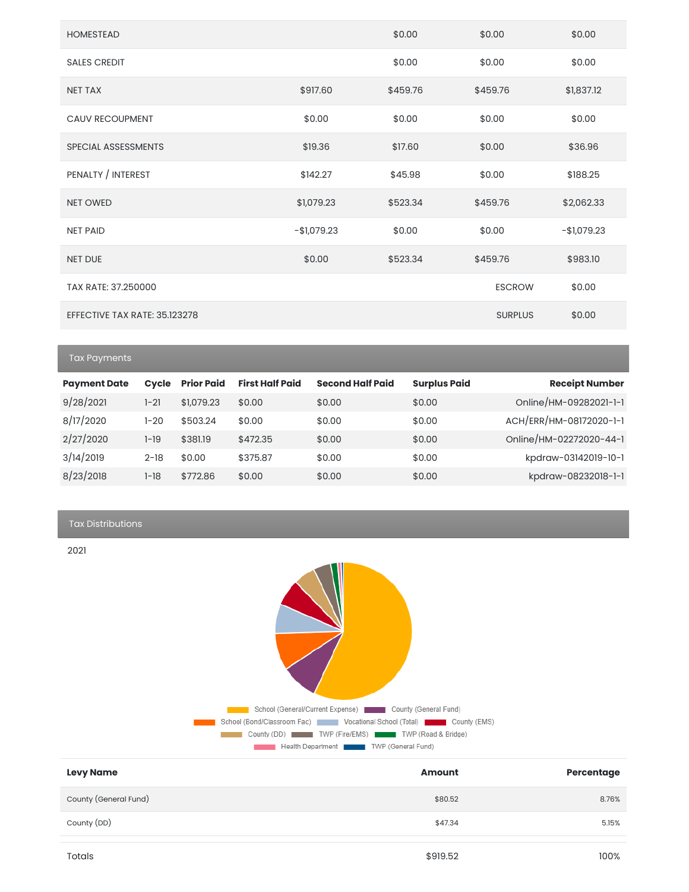| <b>HOMESTEAD</b>              |              | \$0.00   | \$0.00         | \$0.00       |
|-------------------------------|--------------|----------|----------------|--------------|
| <b>SALES CREDIT</b>           |              | \$0.00   | \$0.00         | \$0.00       |
| <b>NET TAX</b>                | \$917.60     | \$459.76 | \$459.76       | \$1,837.12   |
| <b>CAUV RECOUPMENT</b>        | \$0.00       | \$0.00   | \$0.00         | \$0.00       |
| SPECIAL ASSESSMENTS           | \$19.36      | \$17.60  | \$0.00         | \$36.96      |
| PENALTY / INTEREST            | \$142.27     | \$45.98  | \$0.00         | \$188.25     |
| <b>NET OWED</b>               | \$1,079.23   | \$523.34 | \$459.76       | \$2,062.33   |
| <b>NET PAID</b>               | $-$1,079.23$ | \$0.00   | \$0.00         | $-$1,079.23$ |
| <b>NET DUE</b>                | \$0.00       | \$523.34 | \$459.76       | \$983.10     |
| TAX RATE: 37.250000           |              |          | <b>ESCROW</b>  | \$0.00       |
| EFFECTIVE TAX RATE: 35.123278 |              |          | <b>SURPLUS</b> | \$0.00       |

Tax Payments

| <b>Payment Date</b> | <b>Cycle</b> | <b>Prior Paid</b> | <b>First Half Paid</b> | <b>Second Half Paid</b> | <b>Surplus Paid</b> | <b>Receipt Number</b>   |
|---------------------|--------------|-------------------|------------------------|-------------------------|---------------------|-------------------------|
| 9/28/2021           | 1-21         | \$1,079.23        | \$0.00                 | \$0.00                  | \$0.00              | Online/HM-09282021-1-1  |
| 8/17/2020           | 1-20         | \$503.24          | \$0.00                 | \$0.00                  | \$0.00              | ACH/ERR/HM-08172020-1-1 |
| 2/27/2020           | 1-19         | \$381.19          | \$472.35               | \$0.00                  | \$0.00              | Online/HM-02272020-44-1 |
| 3/14/2019           | $2 - 18$     | \$0.00            | \$375.87               | \$0.00                  | \$0.00              | kpdraw-03142019-10-1    |
| 8/23/2018           | 1-18         | \$772.86          | \$0.00                 | \$0.00                  | \$0.00              | kpdraw-08232018-1-1     |

Tax Distributions

2021



| <b>Levy Name</b>      | <b>Amount</b> | Percentage |
|-----------------------|---------------|------------|
| County (General Fund) | \$80.52       | 8.76%      |
| County (DD)           | \$47.34       | 5.15%      |
|                       |               |            |
| Totals                | \$919.52      | 100%       |